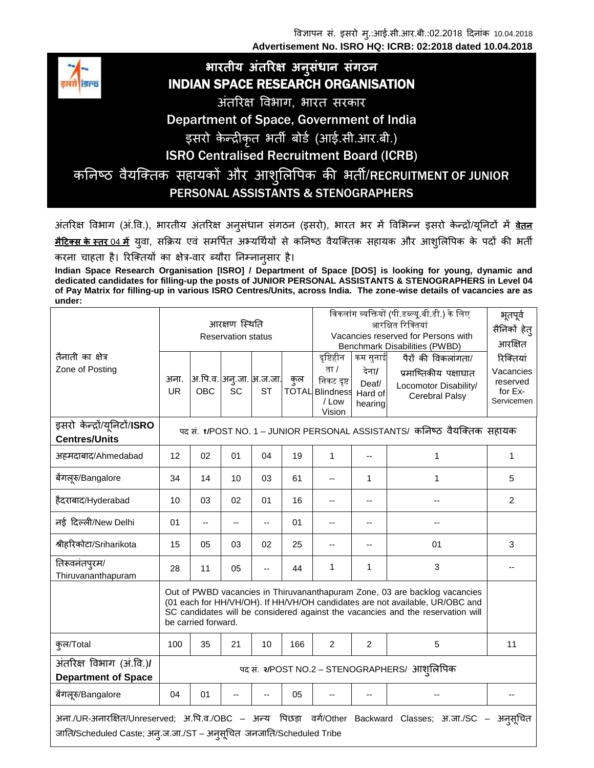विज्ञापन सं. इसरो मु.:आई.सी.आर.बी.:02.2018 दिनांक 10.04.2018 **Advertisement No. ISRO HQ: ICRB: 02:2018 dated 10.04.2018**



## **भारतीय अंतररक्ष अन ुसंधान संगठन** INDIAN SPACE RESEARCH ORGANISATION

अंतररक्ष विभाग, भारत सरकार

Department of Space, Government of India

इसरो केन्द्रीकृत भती बोर्ड (आई.सी.आर.बी.)

ISRO Centralised Recruitment Board (ICRB)

कनिष्ठ वैर्याक्तक सहायको और आशुनिपिक की भती/RECRUITMENT OF JUNIOR PERSONAL ASSISTANTS & STENOGRAPHERS

अंतररक्ष विभाग (अं.वि.), भारतीय अंतररक्ष अनुसंधान संगठन (इसरो), भारत भर में विभभन्न इसरो कन न् रों/यूननटों में **वेतन** <u>मैट्रिक्स के स्तर 04 में</u> युवा, सक्रिय एवं समर्पित अभ्यर्थियों से कनिष्ठ वैयक्तिक सहायक और आशुलिपिक के पदों की भर्ती करना चाहता है। रिक्तियों का क्षेत्र-वार ब्यौरा निम्नान्*सार* है।

**Indian Space Research Organisation [ISRO] / Department of Space [DOS] is looking for young, dynamic and dedicated candidates for filling-up the posts of JUNIOR PERSONAL ASSISTANTS & STENOGRAPHERS in Level 04 of Pay Matrix for filling-up in various ISRO Centres/Units, across India. The zone-wise details of vacancies are as under:**

|                                                                                                                                                                                     | आरक्षण स्थिति<br><b>Reservation status</b>                              |                                                                                                                                                                                                                                                                      |                                |           |     | विकलांग व्यक्तियों (पी.डब्ल्यू.बी.डी.) के लिए<br>आरक्षित रिक्तियां<br>Vacancies reserved for Persons with<br><b>Benchmark Disabilities (PWBD)</b> |                                                  |                                                                                                | भूतपूर्व<br>सैनिकों हेत्<br>आरक्षित                         |
|-------------------------------------------------------------------------------------------------------------------------------------------------------------------------------------|-------------------------------------------------------------------------|----------------------------------------------------------------------------------------------------------------------------------------------------------------------------------------------------------------------------------------------------------------------|--------------------------------|-----------|-----|---------------------------------------------------------------------------------------------------------------------------------------------------|--------------------------------------------------|------------------------------------------------------------------------------------------------|-------------------------------------------------------------|
| तैनाती का क्षेत्र<br>Zone of Posting                                                                                                                                                | अना.<br><b>UR</b>                                                       | <b>OBC</b>                                                                                                                                                                                                                                                           | अ.पि.व. अन्.जा.  अ.ज.जा.<br>SC | <b>ST</b> | कुल | दृष्टिहीन<br>ता /<br>निकट दृष्ट<br><b>TOTAL</b> Blindness<br>/ Low<br>Vision                                                                      | कम सुनाई<br>देना/<br>Deaf/<br>Hard of<br>hearing | पैरों की विकलांगता/<br>प्रमाष्तिकीय पक्षाघात<br>Locomotor Disability/<br><b>Cerebral Palsy</b> | रिक्तियां<br>Vacancies<br>reserved<br>for Ex-<br>Servicemen |
| इसरो केन्द्रों/यूनिटों/ISRO<br><b>Centres/Units</b>                                                                                                                                 | पद सं. १/POST NO. 1 – JUNIOR PERSONAL ASSISTANTS/ कनिष्ठ वैयक्तिक सहायक |                                                                                                                                                                                                                                                                      |                                |           |     |                                                                                                                                                   |                                                  |                                                                                                |                                                             |
| अहमदाबाद/Ahmedabad                                                                                                                                                                  | 12                                                                      | 02                                                                                                                                                                                                                                                                   | 01                             | 04        | 19  | $\mathbf 1$                                                                                                                                       |                                                  | 1                                                                                              | 1                                                           |
| बेंगलूरु/Bangalore                                                                                                                                                                  | 34                                                                      | 14                                                                                                                                                                                                                                                                   | 10                             | 03        | 61  | --                                                                                                                                                | 1                                                | 1                                                                                              | 5                                                           |
| हैदराबाद/Hyderabad                                                                                                                                                                  | 10                                                                      | 03                                                                                                                                                                                                                                                                   | 02                             | 01        | 16  | --                                                                                                                                                |                                                  | --                                                                                             | 2                                                           |
| नई दिल्ली/New Delhi                                                                                                                                                                 | 01                                                                      | --                                                                                                                                                                                                                                                                   | --                             | --        | 01  | --                                                                                                                                                | $-$                                              |                                                                                                |                                                             |
| श्रीहरिकोटा/Sriharikota                                                                                                                                                             | 15                                                                      | 05                                                                                                                                                                                                                                                                   | 03                             | 02        | 25  |                                                                                                                                                   |                                                  | 01                                                                                             | 3                                                           |
| तिरूवनंतपुरम/<br>Thiruvananthapuram                                                                                                                                                 | 28                                                                      | 11                                                                                                                                                                                                                                                                   | 05                             | --        | 44  | 1                                                                                                                                                 | 1                                                | 3                                                                                              |                                                             |
|                                                                                                                                                                                     |                                                                         | Out of PWBD vacancies in Thiruvananthapuram Zone, 03 are backlog vacancies<br>(01 each for HH/VH/OH). If HH/VH/OH candidates are not available, UR/OBC and<br>SC candidates will be considered against the vacancies and the reservation will<br>be carried forward. |                                |           |     |                                                                                                                                                   |                                                  |                                                                                                |                                                             |
| कुल/Total                                                                                                                                                                           | 100                                                                     | 35                                                                                                                                                                                                                                                                   | 21                             | 10        | 166 | $\overline{2}$                                                                                                                                    | $\overline{c}$                                   | 5                                                                                              | 11                                                          |
| अंतरिक्ष विभाग (अं.वि.)/<br><b>Department of Space</b>                                                                                                                              | पद सं. २/POST NO.2 – STENOGRAPHERS/ आश् <i>लिपिक</i>                    |                                                                                                                                                                                                                                                                      |                                |           |     |                                                                                                                                                   |                                                  |                                                                                                |                                                             |
| बेंगलूरु/Bangalore                                                                                                                                                                  | 04                                                                      | 01                                                                                                                                                                                                                                                                   |                                |           | 05  |                                                                                                                                                   |                                                  |                                                                                                |                                                             |
| अना./UR-अनारक्षित/Unreserved; अ.पि.व./OBC – अन्य पिछड़ा वर्ग/Other Backward Classes; अ.जा./SC –<br>अनुसूचित<br>जाति/Scheduled Caste; अन्.ज.जा./ST – अनुसूचित जनजाति/Scheduled Tribe |                                                                         |                                                                                                                                                                                                                                                                      |                                |           |     |                                                                                                                                                   |                                                  |                                                                                                |                                                             |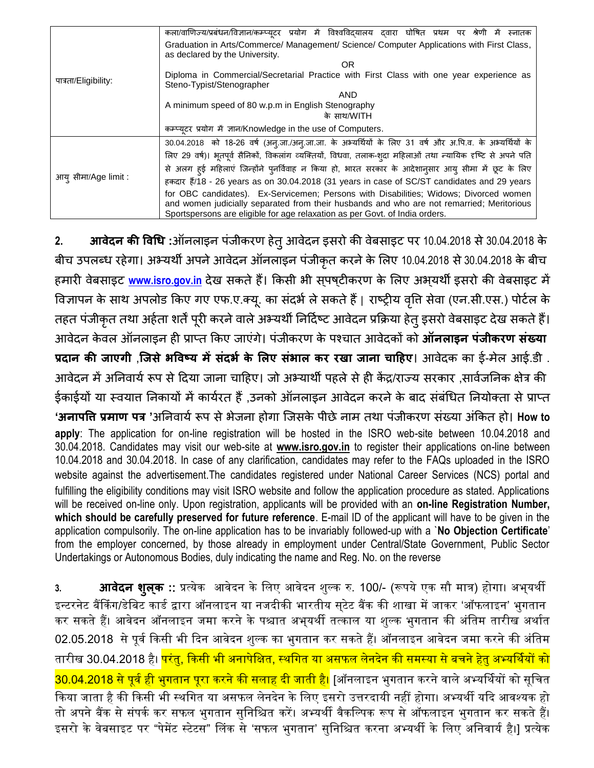| पात्रता/Eligibility: | कला/वाणिज्य/प्रबंधन/विज्ञान/कम्प्यूटर प्रयोग में विश्वविद्यालय दवारा घोषित प्रथम पर श्रेणी में<br>स्नातक                                                                                                                                                          |  |  |  |  |  |  |  |  |  |
|----------------------|-------------------------------------------------------------------------------------------------------------------------------------------------------------------------------------------------------------------------------------------------------------------|--|--|--|--|--|--|--|--|--|
|                      | Graduation in Arts/Commerce/ Management/ Science/ Computer Applications with First Class,<br>as declared by the University.                                                                                                                                       |  |  |  |  |  |  |  |  |  |
|                      | OR.                                                                                                                                                                                                                                                               |  |  |  |  |  |  |  |  |  |
|                      | Diploma in Commercial/Secretarial Practice with First Class with one year experience as<br>Steno-Typist/Stenographer                                                                                                                                              |  |  |  |  |  |  |  |  |  |
|                      | AND                                                                                                                                                                                                                                                               |  |  |  |  |  |  |  |  |  |
|                      | A minimum speed of 80 w.p.m in English Stenography                                                                                                                                                                                                                |  |  |  |  |  |  |  |  |  |
|                      | के साथ/WITH                                                                                                                                                                                                                                                       |  |  |  |  |  |  |  |  |  |
|                      | कम्प्यूटर प्रयोग में ज्ञान/Knowledge in the use of Computers.                                                                                                                                                                                                     |  |  |  |  |  |  |  |  |  |
| आय् सीमा/Age limit : | 30.04.2018 को 18-26 वर्ष (अन्.जा./अन्.जा.जा. के अभ्यर्थियों के लिए 31 वर्ष और अ.पि.व. के अभ्यर्थियों के                                                                                                                                                           |  |  |  |  |  |  |  |  |  |
|                      | लिए 29 वर्ष)। भूतपूर्व सैनिकों, विकलांग व्यक्तियों, विधवा, तलाक-शुदा महिलाओं तथा न्यायिक दृष्टि से अपने पति                                                                                                                                                       |  |  |  |  |  |  |  |  |  |
|                      | से अलग हई महिलाएं जिन्होंने पुनर्विवाह न किया हो, भारत सरकार के आदेशानुसार आयु सीमा में छूट के लिए                                                                                                                                                                |  |  |  |  |  |  |  |  |  |
|                      | हकदार हैं/18 - 26 years as on 30.04.2018 (31 years in case of SC/ST candidates and 29 years                                                                                                                                                                       |  |  |  |  |  |  |  |  |  |
|                      | for OBC candidates). Ex-Servicemen; Persons with Disabilities; Widows; Divorced women<br>and women judicially separated from their husbands and who are not remarried; Meritorious<br>Sportspersons are eligible for age relaxation as per Govt. of India orders. |  |  |  |  |  |  |  |  |  |

2. **आवेदन की विधि** :ऑनलाइन पंजीकरण हेत् आवेदन इसरो की वेबसाइट पर 10.04.2018 से 30.04.2018 के बीच उपलब्ध रहेगा। अभ्यर्थी अपने आवेदन ऑनलाइन पंजीकृत करने के लिए 10.04.2018 से 30.04.2018 के बीच हमारी वेबसाइ[ट](http://www.isro.gov.in/) [www.isro.gov.in](http://www.isro.gov.in/) देख सकते हैं। किसी भी सपष्**टीकरण के लिए अभ्**यर्थी इसरो की वेबसाइट में विज्ञापन के साथ अपलोड किए गए एफ.ए.क्यू. का संदर्भ ले सकते हैं | राष्ट्रीय वृत्ति सेवा (एन.सी.एस.) पोर्टल के तहत पंजीकृत तथा अर्हता शर्तें पूरी करने वाले अभ्यर्थी निर्दिष्ट आवेदन प्रक्रिया हेतू इसरो वेबसाइट देख सकते हैं। आिनिन कन िि ऑनिाइन ही प्रा्त क्रकए जाएंगन। पंजीकरण कन पचात आिनिकों को **ऑनलाइन पंजीकरण संख्या प्रदान की जाएगी** ,**जजसेभववष्य मेंसंदभभ के ललए संभाल कर रखा जाना चाट्रिए**। आिनिक का ई-मनि आई.(आी . आवेदन में अनिवार्य रूप से दिया जाना चाहिए। जो अभ्यार्थी पहले से ही केंद्र/राज्य सरकार ,सार्वजनिक क्षेत्र की ईकाईयों या स्वयात निकायों में कार्यरत हैं ,उनको ऑनलाइन आवेदन करने के बाद संबंधित नियोक्ता से प्राप्त **'अनापवि प्रमाण पत्र '**अननिायिरूप सनभनजना होगा क्जसकन पीडननाम तिा पंजीकरण संख्या अंक्रकत हो। **How to apply**: The application for on-line registration will be hosted in the ISRO web-site between 10.04.2018 and 30.04.2018. Candidates may visit our web-site at **www.isro.gov.in** to register their applications on-line between 10.04.2018 and 30.04.2018. In case of any clarification, candidates may refer to the FAQs uploaded in the ISRO website against the advertisement.The candidates registered under National Career Services (NCS) portal and fulfilling the eligibility conditions may visit ISRO website and follow the application procedure as stated. Applications will be received on-line only. Upon registration, applicants will be provided with an **on-line Registration Number, which should be carefully preserved for future reference**. E-mail ID of the applicant will have to be given in the application compulsorily. The on-line application has to be invariably followed-up with a `**No Objection Certificate**' from the employer concerned, by those already in employment under Central/State Government, Public Sector Undertakings or Autonomous Bodies, duly indicating the name and Reg. No. on the reverse

<mark>3. **आवेदन शृल्क** ::</mark> प्रत्येक आवेदन के लिए आवेदन शुल्क रु. 100/- (रूपये एक सौ मात्र) होगा। अभ्**यर्थी** इन्टरनेट बैंकिंग/डेबिट कार्ड द्वारा ऑनलाइन या नजदीकी भारतीय सुटेट बैंक की शाखा में जाकर 'ऑफलाइन' भुगतान कर सकते हैं। आवेदन ऑनलाइन जमा करने के पश्चात अभुयर्थी तत्काल या शुल्क भुगतान की अंतिम तारीख अर्थात 02.05.2018 से पूर्व किसी भी दिन आवेदन शुल्क का भुगतान कर सकते हैं। ऑनलाइन आवेदन जमा करने की अंतिम तारीख 30.04.2018 है। <mark>परंतु, किसी भी अनापेक्षित, स्थगित या असफल लेनदेन की समस्या से बचने हेतु अभ्यर्थियों को</mark> <mark>30.04.2018 से पूर्व ही भुगतान पूरा करने की सलाह दी जाती है।</mark> [ऑनलाइन भुगतान करने वाले अभ्यर्थियों को सूचित किया जाता है की किसी भी स्थगित या असफल लेनदेन के लिए इसरो उत्तरदायी नहीं होगा। अभ्यर्थी यदि आवश्यक हो तो अपने बैंक से संपर्क कर सफल भुगतान सुनिश्चित करें। अभ्यर्थी वैकल्पिक रूप से ऑफलाइन भुगतान कर सकते हैं। इसरो के वेबसाइट पर "पेमेंट स्टेटस" लिंक से 'सफल भगतान' सुनिश्चित करना अभ्यर्थी के लिए अनिवार्य है।] प्रत्येक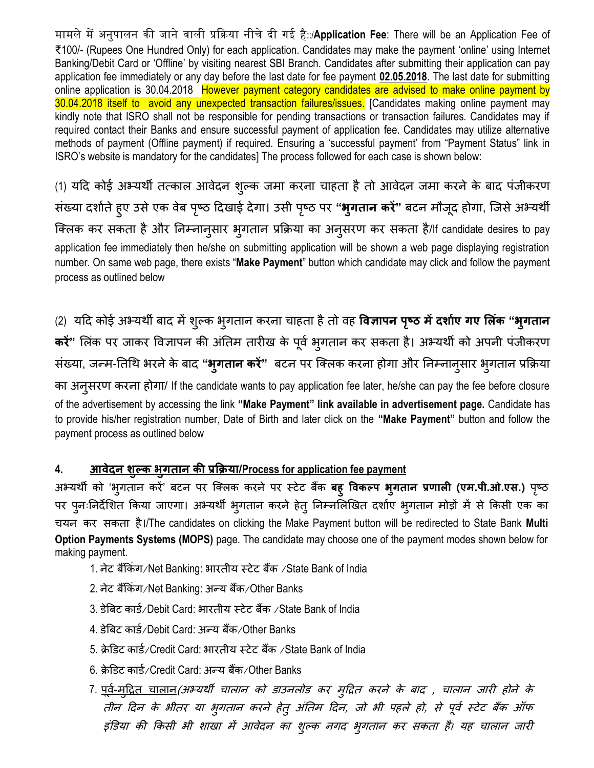मामले में अनुपालन की जाने वाली प्रक्रिया नीचे दी गई है::/Application Fee: There will be an Application Fee of ₹100/- (Rupees One Hundred Only) for each application. Candidates may make the payment 'online' using Internet Banking/Debit Card or 'Offline' by visiting nearest SBI Branch. Candidates after submitting their application can pay application fee immediately or any day before the last date for fee payment **02.05.2018**. The last date for submitting online application is 30.04.2018 However payment category candidates are advised to make online payment by 30.04.2018 itself to avoid any unexpected transaction failures/issues. [Candidates making online payment may kindly note that ISRO shall not be responsible for pending transactions or transaction failures. Candidates may if required contact their Banks and ensure successful payment of application fee. Candidates may utilize alternative methods of payment (Offline payment) if required. Ensuring a 'successful payment' from "Payment Status" link in ISRO's website is mandatory for the candidates] The process followed for each case is shown below:

(1) यदि कोई अभ्यर्थी तत्काल आवेदन शुल्क जमा करना चाहता है तो आवेदन जमा करने के बाद पंजीकरण संख्या दर्शाते हए उसे एक वेब पृष्ठ दिखाई देगा। उसी पृष्ठ पर **"भुगतान करें**" बटन मौजूद होगा, जिसे अभ्यर्थी क्तिक कर सकता हैऔर नननानुसार भुगतान प्रक्रिया का अनुसरण कर सकता है/If candidate desires to pay application fee immediately then he/she on submitting application will be shown a web page displaying registration number. On same web page, there exists "**Make Payment**" button which candidate may click and follow the payment process as outlined below

(2) यदि कोई अभ्यिी बाि मेंशुल्क भुगतान करना चाहता हैतो िह **ववज्ञापन पष्ृठ मेंदशाभए गए ललंक "भुगतान करें"** भिंक पर जाकर विज्ञापन की अंनतम तारीख कन पूिि भुगतान कर सकता है। अभ्यिी को अपनी पंजीकरण संख्या, जन्म-तिथि भरने के बाद "**भ्गतान करें**" बटन पर क्लिक करना होगा और निम्नान्**सार भ्**गतान प्रक्रिया का अनुसरण करना होगा/ If the candidate wants to pay application fee later, he/she can pay the fee before closure of the advertisement by accessing the link **"Make Payment" link available in advertisement page.** Candidate has to provide his/her registration number, Date of Birth and later click on the **"Make Payment"** button and follow the payment process as outlined below

## **4. आवेदन शुल्क भुगतान की प्रक्रिया/Process for application fee payment**

अभ्यर्थी को 'भ्गतान करें' बटन पर क्लिक करने पर स्टेट बैंक **बह़ विकल्प भ्गतान प्रणाली (एम.पी.ओ.एस.)** पृष्ठ पर पुनःनिर्देशित किया जाएगा। अभ्यर्थी भुगतान करने हेत् निम्नलिखित दर्शाए भुगतान मोड़ों में से किसी एक का चयन कर सकता है।/The candidates on clicking the Make Payment button will be redirected to State Bank **Multi Option Payments Systems (MOPS)** page. The candidate may choose one of the payment modes shown below for making payment.

- 1. नेट बैंकिंग/Net Banking: भारतीय स्टेट बैंक /State Bank of India
- 2. ननट बक्रैंकंग/Net Banking: अन्य बैंक/Other Banks
- 3. डेबिट कार्ड/Debit Card: भारतीय स्टेट बैंक /State Bank of India
- 4. डेबिट कार्ड/Debit Card: अन्य बैंक/Other Banks
- 5. क्रेडिट कार्ड/Credit Card: भारतीय स्टेट बैंक /State Bank of India
- 6. क्रेडिट कार्ड/Credit Card: अन्य बैंक/Other Banks
- 7. <u>पूर्व-मुद्रित चालान</u>(अभ्यर्थी चालान को डाउनलोड कर मुद्रित करने के बाद , चालान जारी होने के तीन दिन के भीतर या भुगतान करने हेतू अंतिम दिन, जो भी पहले हो, से पूर्व स्टेट बैंक ऑफ इंडिया की किसी भी शाखा में आवेदन का शुल्क नगद भुगतान कर सकता है। यह चालान जारी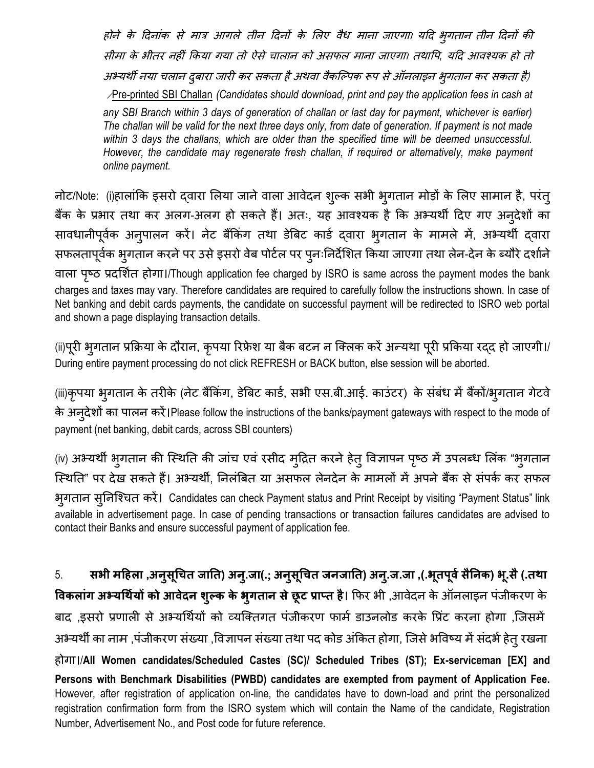होने के दिनांक से मात्र आगले तीन दिनों के लिए वैध माना जाएगा। यदि भुगतान तीन दिनों की सीमा के भीतर नहीं किया गया तो ऐसे चालान को असफल माना जाएगा। तथापि, यदि आवश्यक हो तो अभ्यर्थी नया चलान दुबारा जारी कर सकता है अथवा वैकल्पिक रूप से ऑनलाइन भुगतान कर सकता है) /Pre-printed SBI Challan *(Candidates should download, print and pay the application fees in cash at any SBI Branch within 3 days of generation of challan or last day for payment, whichever is earlier) The challan will be valid for the next three days only, from date of generation. If payment is not made within 3 days the challans, which are older than the specified time will be deemed unsuccessful. However, the candidate may regenerate fresh challan, if required or alternatively, make payment online payment.*

नोट/Note: (i)हालांकि इसरो दवारा लिया जाने वाला आवेदन शुल्क सभी भुगतान मोड़ों के लिए सामान है, परंतु बैंक के प्रभार तथा कर अलग-अलग हो सकते हैं। अतः, यह आवश्यक है कि अभ्यर्थी दिए गए अनुदेशों का सावधानीपूर्वक अनुपालन करें। नेट बैंकिंग तथा डेबिट कार्ड द्वारा भुगतान के मामले में, अभ्यर्थी द्वारा सफलतापूर्वक भुगतान करने पर उसे इसरो वेब पोर्टल पर पुनःनिर्देशित किया जाएगा तथा लेन-देन के ब्यौरे दर्शाने िािा पष्रठ प्रिभशित होगा।/Though application fee charged by ISRO is same across the payment modes the bank charges and taxes may vary. Therefore candidates are required to carefully follow the instructions shown. In case of Net banking and debit cards payments, the candidate on successful payment will be redirected to ISRO web portal and shown a page displaying transaction details.

(ii)पूरी भुगतान प्रक्रिया के दौरान, कृपया रिफ्रेश या बैक बटन न क्लिक करें अन्यथा पूरी प्रकिया रद्द हो जाएगी।/ During entire payment processing do not click REFRESH or BACK button, else session will be aborted.

(iii)कृपया भूगतान के तरीके (नेट बैंकिंग, डेबिट कार्ड, सभी एस.बी.आई. काउंटर) के संबंध में बैंकों/भूगतान गेटवे के अनूदेशों का पालन करें।Please follow the instructions of the banks/payment gateways with respect to the mode of payment (net banking, debit cards, across SBI counters)

(iv) अभ्यर्थी भूगतान की स्थिति की जांच एवं रसीद मृद्रित करने हेत् विज्ञापन पृष्ठ में उपलब्ध लिंक "भुगतान स्थिति" पर देख सकते हैं। अभ्यर्थी, निलंबित या असफल लेनदेन के मामलों में अपने बैंक से संपर्क कर सफल भुगतान सुननक्चत करें। Candidates can check Payment status and Print Receipt by visiting "Payment Status" link available in advertisement page. In case of pending transactions or transaction failures candidates are advised to contact their Banks and ensure successful payment of application fee.

5. सभी महिला ,अनुसूचित जाति) अन्.जा(.; अनुसूचित जनजाति) अन्.ज.जा ,(.भूतपूर्व सैनिक) भू.सै (.तथा **विकलांग अभ्यर्थियों को आवेदन शुल्क के भुगतान से छूट प्राप्त है। फिर भी ,आवेदन के ऑनलाइन पंजीकरण के** बाद ,इसरो प्रणाली से अभ्यर्थियों को व्यक्तिगत पंजीकरण फार्म डाउनलोड करके प्रिंट करना होगा ,जिसमें अभ्यर्थी का नाम ,पंजीकरण संख्या ,विज्ञापन संख्या तथा पद कोड अंकित होगा, जिसे भविष्य में संदर्भ हेत् रखना होगा।/**All Women candidates/Scheduled Castes (SC)/ Scheduled Tribes (ST); Ex-serviceman [EX] and Persons with Benchmark Disabilities (PWBD) candidates are exempted from payment of Application Fee.**  However, after registration of application on-line, the candidates have to down-load and print the personalized registration confirmation form from the ISRO system which will contain the Name of the candidate, Registration Number, Advertisement No., and Post code for future reference.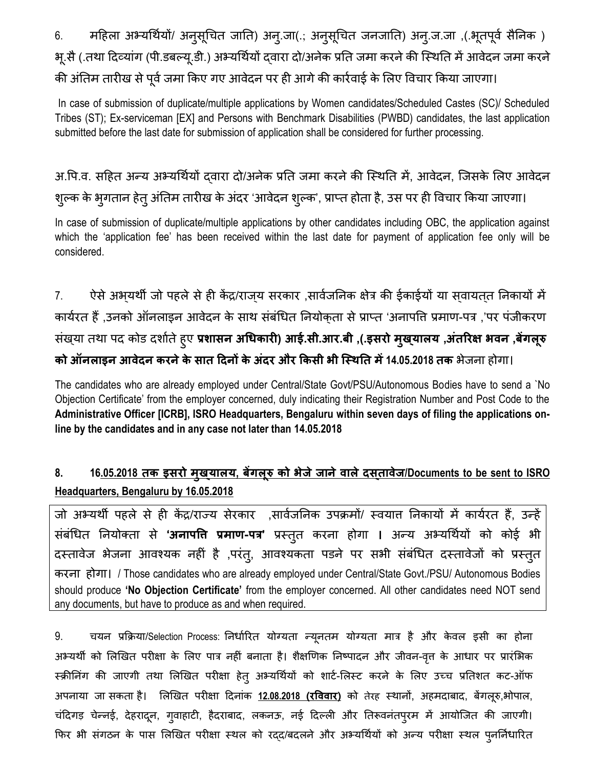6. महिला अभ्यर्थियों/ अनुसूचित जाति) अन्.जा(.; अनुसूचित जनजाति) अन्.ज.जा ,(.भूतपूर्व सैनिक ) भू.सै (.तथा दिव्यांग (पी.डबल्यू.डी.) अभ्यर्थियों दवारा दो/अनेक प्रति जमा करने की स्थिति में आवेदन जमा करने की अंतिम तारीख से पूर्व जमा किए गए आवेदन पर ही आगे की कार्रवाई के लिए विचार किया जाएगा।

In case of submission of duplicate/multiple applications by Women candidates/Scheduled Castes (SC)/ Scheduled Tribes (ST); Ex-serviceman [EX] and Persons with Benchmark Disabilities (PWBD) candidates, the last application submitted before the last date for submission of application shall be considered for further processing.

अ.पि.व. सहित अन्य अभ्यर्थियों दवारा दो/अनेक प्रति जमा करने की स्थिति में, आवेदन, जिसके लिए आवेदन शुल्क के भुगतान हेत् अंतिम तारीख के अंदर 'आवेदन शुल्क', प्राप्त होता है, उस पर ही विचार किया जाएगा।

In case of submission of duplicate/multiple applications by other candidates including OBC, the application against which the 'application fee' has been received within the last date for payment of application fee only will be considered.

7. ऐसे अभयर्थी जो पहले से ही केंद्र/राजय सरकार ,सार्वजनिक क्षेत्र की ईकाईयों या सवायतत निकायों में कार्यरत हैं ,उनको ऑनलाइन आवेदन के साथ संबंधित नियोकता से प्राप्त 'अनापति प्रमाण-पत्र ,'पर पंजीकरण संख्या तथा पद कोड दर्शाते हुए प्रशासन अधिकारी) आई.सी.आर.बी ,(.इसरो मुख्यालय ,अंतरिक्ष भवन ,बेंगलूरु **को ऑनलाइन आवेदन करनेके सात ट्रदनों के अंदर और क्रकसी भी जसथतत में14.05.2018 तक** भनजना होगा।

The candidates who are already employed under Central/State Govt/PSU/Autonomous Bodies have to send a `No Objection Certificate' from the employer concerned, duly indicating their Registration Number and Post Code to the **Administrative Officer [ICRB], ISRO Headquarters, Bengaluru within seven days of filing the applications online by the candidates and in any case not later than 14.05.2018**

## **8. 16.05.2018 तक इसरो मुखयालय ् , बेंगलूरु को भेजेजानेवालेदसतावेज ् /Documents to be sent to ISRO Headquarters, Bengaluru by 16.05.2018**

जो अभ्यर्थी पहले से ही केंद्र/राज्य सेरकार ,सार्वजनिक उपक्रमों/ स्वयात निकायों में कार्यरत हैं, उन्हें संबंधित नियोक्ता से **'अनापत्ति प्रमाण-पत्र'** प्रस्तुत करना होगा । अन्य अभ्यर्थियों को कोई भी दस्तावेज भेजना आवश्यक नहीं है ,परंत्, आवश्यकता पडने पर सभी संबंधित दस्तावेजों को प्रस्तुत करना होगा। / Those candidates who are already employed under Central/State Govt./PSU/ Autonomous Bodies should produce **'No Objection Certificate'** from the employer concerned. All other candidates need NOT send any documents, but have to produce as and when required.

9. चयन प्रक्रिया/Selection Process: निर्धारित योग्यता न्यूनतम योग्यता मात्र है और केवल इसी का होना अभ्यर्थी को लिखित परीक्षा के लिए पात्र नहीं बनाता है। शैक्षणिक निष्पादन और जीवन-वृत्त के आधार पर प्रारंभिक स्क्रीनिंग की जाएगी तथा लिखित परीक्षा हेत् अभ्यर्थियों को शार्ट-लिस्ट करने के लिए उच्च प्रतिशत कट-ऑफ अपनाया जा सकता है। लिखित परीक्षा दिनांक 12.08.2018 (रविवार) को तेरह स्थानों, अहमदाबाद, बेंगलूरु,भोपाल, चंदिगड़ चेन्नई, देहरादून, गुवाहाटी, हैदराबाद, लकनऊ, नई दिल्ली और तिरूवनंतपुरम में आयोजित की जाएगी। फिर भी संगठन के पास लिखित परीक्षा स्थल को रद्द/बदलने और अभ्यर्थियों को अन्य परीक्षा स्थल प्*नर्निधारित*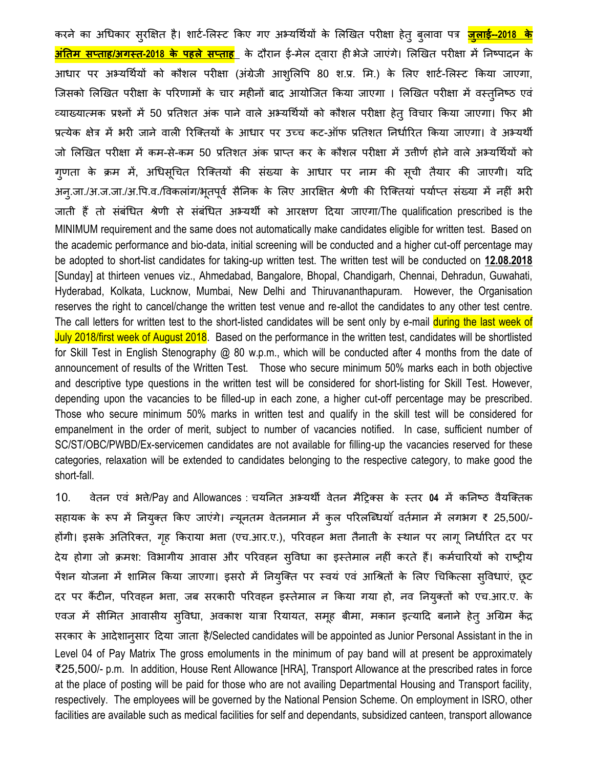करने का अधिकार सुरक्षित है। शार्ट-लिस्ट किए गए अभ्यर्थियों के लिखित परीक्षा हेत् बुलावा पत्र <mark>जुलाई--2018 के</mark> <mark>अंतिम सप्ताह/अगस्त-2018 के पहले सप्ताह</mark> के दौरान ई-मेल दवारा ही भेजे जाएंगे। लिखित परीक्षा में निष्पादन के आधार पर अभ्यर्थियों को कौशल परीक्षा (अंग्रेजी आशुलिपि 80 श.प्र. मि.) के लिए शार्ट-लिस्ट किया जाएगा, जिसको लिखित परीक्षा के परिणामों के चार महीनों बाद आयोजित किया जाएगा । लिखित परीक्षा में वस्तुनिष्ठ एवं व्याख्यात्मक प्रश्नों में 50 प्रतिशत अंक पाने वाले अभ्यर्थियों को कौशल परीक्षा हेत् विचार किया जाएगा। फिर भी प्रत्येक क्षेत्र में भरी जाने वाली रिक्तियों के आधार पर उच्च कट-ऑफ प्रतिशत निर्धारित किया जाएगा। वे अभ्यर्थी जो लिखित परीक्षा में कम-से-कम 50 प्रतिशत अंक प्राप्त कर के कौशल परीक्षा में उत्तीर्ण होने वाले अभ्यर्थियों को गुणता के क्रम में, अधिसूचित रिक्तियों की संख्या के आधार पर नाम की सूची तैयार की जाएगी। यदि अनु.जा./अ.ज.जा./अ.पि.व./विकलांग/भूतपूर्व सैनिक के लिए आरक्षित श्रेणी की रिक्तियां पर्याप्त संख्या में नहीं भरी जाती हैं तो संबंधित श्रेणी से संबंधित अभ्यर्थी को आरक्षण दिया जाएगा/The qualification prescribed is the MINIMUM requirement and the same does not automatically make candidates eligible for written test. Based on the academic performance and bio-data, initial screening will be conducted and a higher cut-off percentage may be adopted to short-list candidates for taking-up written test. The written test will be conducted on **12.08.2018** [Sunday] at thirteen venues viz., Ahmedabad, Bangalore, Bhopal, Chandigarh, Chennai, Dehradun, Guwahati, Hyderabad, Kolkata, Lucknow, Mumbai, New Delhi and Thiruvananthapuram. However, the Organisation reserves the right to cancel/change the written test venue and re-allot the candidates to any other test centre. The call letters for written test to the short-listed candidates will be sent only by e-mail during the last week of July 2018/first week of August 2018. Based on the performance in the written test, candidates will be shortlisted for Skill Test in English Stenography @ 80 w.p.m., which will be conducted after 4 months from the date of announcement of results of the Written Test. Those who secure minimum 50% marks each in both objective and descriptive type questions in the written test will be considered for short-listing for Skill Test. However, depending upon the vacancies to be filled-up in each zone, a higher cut-off percentage may be prescribed. Those who secure minimum 50% marks in written test and qualify in the skill test will be considered for empanelment in the order of merit, subject to number of vacancies notified. In case, sufficient number of SC/ST/OBC/PWBD/Ex-servicemen candidates are not available for filling-up the vacancies reserved for these categories, relaxation will be extended to candidates belonging to the respective category, to make good the short-fall.

10. वेतन एवं भत्ते/Pay and Allowances : चयनित अभ्यर्थी वेतन मैट्रिक्स के स्तर 04 में कनिष्ठ वैयक्तिक सहायक के रूप में नियुक्त किए जाएंगे। न्यूनतम वेतनमान में कुल परिलब्धियाँ वर्तमान में लगभग ₹ 25,500/-होंगी। इसके अतिरिक्त, गृह किराया भता (एच.आर.ए.), परिवहन भता तैनाती के स्थान पर लागू निर्धारित दर पर देय होगा जो क्रमश: विभागीय आवास और परिवहन स्विधा का इस्तेमाल नहीं करते हैं। कर्मचारियों को राष्ट्रीय पेंशन योजना में शामिल किया जाएगा। इसरो में नियुक्ति पर स्वयं एवं आश्रितों के लिए चिकित्सा सुविधाएं, छूट दर पर कैंटीन, परिवहन भत्ता, जब सरकारी परिवहन इस्तेमाल न किया गया हो, नव नियुक्तों को एच.आर.ए. के एवज में सीमित आवासीय सुविधा, अवकाश यात्रा रियायत, समूह बीमा, मकान इत्यादि बनाने हेत् अग्रिम केंद्र सरकार कन आिनशानुसार दिया जाता है/Selected candidates will be appointed as Junior Personal Assistant in the in Level 04 of Pay Matrix The gross emoluments in the minimum of pay band will at present be approximately ₹25,500/- p.m. In addition, House Rent Allowance [HRA], Transport Allowance at the prescribed rates in force at the place of posting will be paid for those who are not availing Departmental Housing and Transport facility, respectively. The employees will be governed by the National Pension Scheme. On employment in ISRO, other facilities are available such as medical facilities for self and dependants, subsidized canteen, transport allowance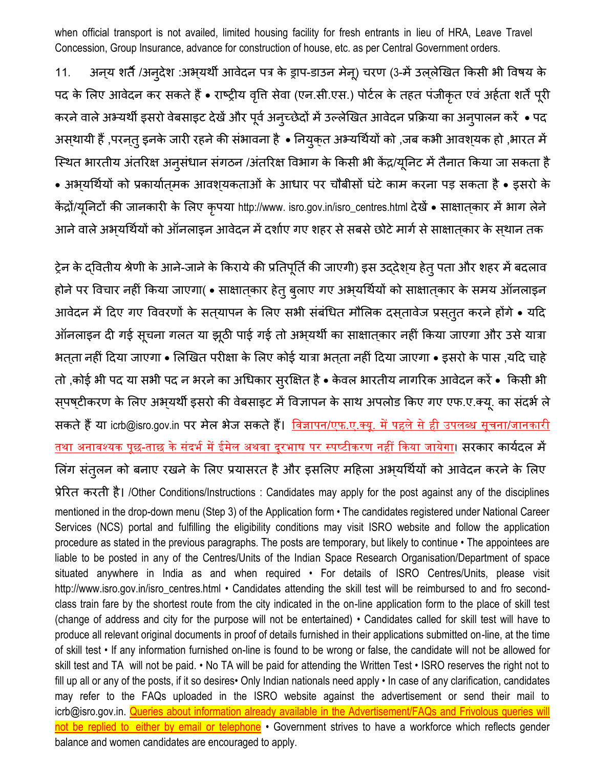when official transport is not availed, limited housing facility for fresh entrants in lieu of HRA, Leave Travel Concession, Group Insurance, advance for construction of house, etc. as per Central Government orders.

11. अन्य शर्ते /अन्देश :अभ्यर्थी आवेदन पत्र के ड्राप-डाउन मेनू) चरण (3-में उल्लेखित किसी भी विषय के पद के लिए आवेदन कर सकते हैं • राष्ट्रीय वृति सेवा (एन.सी.एस.) पोर्टल के तहत पंजीकृत एवं अर्हता शर्तें पूरी करने वाले अभ्यर्थी इसरो वेबसाइट देखें और पूर्व अन्**च्छेदों में उल्लेखित आवेदन प्रक्रिया का** अनुपालन करें • पद अस्थायी हैं ,परनत् इनके जारी रहने की संभावना है • नियुक्त अभ्यर्थियों को ,जब कभी आवश्यक हो ,भारत में स्थित भारतीय अंतरिक्ष अनुसंधान संगठन /अंतरिक्ष विभाग के किसी भी केंद्र/यूनिट में तैनात किया जा सकता है • अभ्यर्थियों को प्रकार्यात्मक आवश्यकताओं के आधार पर चौबीसों घंटे काम करना पड़ सकता है • इसरो के केंद्रों/यूनिटों की जानकारी के लिए कृपया http://www. isro.gov.in/isro\_centres.html देखें • साक्षातकार में भाग लेने आने वाले अभयर्थियों को ऑनलाइन आवेदन में दर्शाए गए शहर से सबसे छोटे मार्ग से साक्षातकार के सथान तक

ट्रेन के दवितीय श्रेणी के आने-जाने के किराये की प्रतिपूर्ति की जाएगी) इस उद्देश्य हेत् पता और शहर में बदलाव होने पर विचार नहीं किया जाएगा( • साक्षात्कार हेतु बुलाए गए अभ्यर्थियों को साक्षात्कार के समय ऑनलाइन आवेदन में दिए गए विवरणों के सत्यापन के लिए सभी संबंधित मौलिक दस्तावेज प्रस्तुत करने होंगे • यदि ऑनलाइन दी गई सूचना गलत या झूठी पाई गई तो अभ्यर्थी का साक्षात्कार नहीं किया जाएगा और उसे यात्रा भतता नहीं दिया जाएगा • लिखित परीक्षा के लिए कोई यात्रा भतता नहीं दिया जाएगा • इसरो के पास ,यदि चाहे तो ,कोई भी पद या सभी पद न भरने का अधिकार सुरक्षित है • केवल भारतीय नागरिक आवेदन करें • किसी भी सपष्टीकरण के लिए अभ्यर्थी इसरो की वेबसाइट में विज्ञापन के साथ अपलोड किए गए एफ.ए.क्यू. का संदर्भ ले सकते हैं या [icrb@isro.gov.in](mailto:icrb@isro.gov.in) पर मेल भेज सकते हैं। विज्ञापन/एफ.ए.क्यू. में पहले से ही उपलब्ध सूचना/जानकारी <u>तथा अनावश्यक पूछ-ताछ के संदर्भ में ईमेल अथवा दूरभाष पर स्पष्टीकरण नहीं किया जायेगा</u>। सरकार कार्यदल में लिंग संतुलन को बनाए रखने के लिए प्रयासरत है और इसलिए महिला अभ्यर्थियों को आवेदन करने के लिए प्रनररत करती है। /Other Conditions/Instructions : Candidates may apply for the post against any of the disciplines mentioned in the drop-down menu (Step 3) of the Application form • The candidates registered under National Career Services (NCS) portal and fulfilling the eligibility conditions may visit ISRO website and follow the application procedure as stated in the previous paragraphs. The posts are temporary, but likely to continue • The appointees are liable to be posted in any of the Centres/Units of the Indian Space Research Organisation/Department of space situated anywhere in India as and when required • For details of ISRO Centres/Units, please visit [http://www.isro.gov.in/isro\\_centres.html](http://www.isro.gov.in/isro_centres.html) • Candidates attending the skill test will be reimbursed to and fro secondclass train fare by the shortest route from the city indicated in the on-line application form to the place of skill test (change of address and city for the purpose will not be entertained) • Candidates called for skill test will have to produce all relevant original documents in proof of details furnished in their applications submitted on-line, at the time of skill test • If any information furnished on-line is found to be wrong or false, the candidate will not be allowed for skill test and TA will not be paid. • No TA will be paid for attending the Written Test • ISRO reserves the right not to fill up all or any of the posts, if it so desires• Only Indian nationals need apply • In case of any clarification, candidates may refer to the FAQs uploaded in the ISRO website against the advertisement or send their mail to [icrb@isro.gov.in.](mailto:icrb@isro.gov.in) Queries about information already available in the Advertisement/FAQs and Frivolous queries will not be replied to either by email or telephone • Government strives to have a workforce which reflects gender balance and women candidates are encouraged to apply.